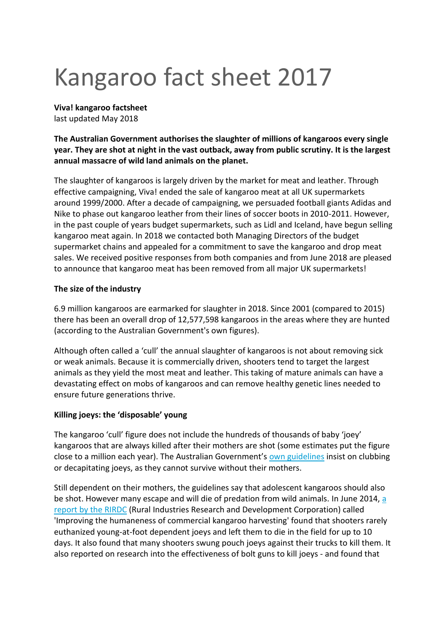# Kangaroo fact sheet 2017

**Viva! kangaroo factsheet**

last updated May 2018

**The Australian Government authorises the slaughter of millions of kangaroos every single year. They are shot at night in the vast outback, away from public scrutiny. It is the largest annual massacre of wild land animals on the planet.**

The slaughter of kangaroos is largely driven by the market for meat and leather. Through effective campaigning, Viva! ended the sale of kangaroo meat at all UK supermarkets around 1999/2000. After a decade of campaigning, we persuaded football giants Adidas and Nike to phase out kangaroo leather from their lines of soccer boots in 2010-2011. However, in the past couple of years budget supermarkets, such as Lidl and Iceland, have begun selling kangaroo meat again. In 2018 we contacted both Managing Directors of the budget supermarket chains and appealed for a commitment to save the kangaroo and drop meat sales. We received positive responses from both companies and from June 2018 are pleased to announce that kangaroo meat has been removed from all major UK supermarkets!

# **The size of the industry**

6.9 million kangaroos are earmarked for slaughter in 2018. Since 2001 (compared to 2015) there has been an overall drop of 12,577,598 kangaroos in the areas where they are hunted (according to the Australian Government's own figures).

Although often called a 'cull' the annual slaughter of kangaroos is not about removing sick or weak animals. Because it is commercially driven, shooters tend to target the largest animals as they yield the most meat and leather. This taking of mature animals can have a devastating effect on mobs of kangaroos and can remove healthy genetic lines needed to ensure future generations thrive.

# **Killing joeys: the 'disposable' young**

The kangaroo 'cull' figure does not include the hundreds of thousands of baby 'joey' kangaroos that are always killed after their mothers are shot (some estimates put the figure close to a million each year). The Australian Government's [own guidelines](https://www.environment.gov.au/biodiversity/wildlife-trade/publications/national-codes-practice-humane-shooting-kangaroos-and-wallabies) insist on clubbing or decapitating joeys, as they cannot survive without their mothers.

Still dependent on their mothers, the guidelines say that adolescent kangaroos should also be shot. However many escape and will die of predation from wild animals. In June 2014, [a](https://www.google.co.uk/url?sa=t&rct=j&q=&esrc=s&source=web&cd=1&cad=rja&uact=8&ved=0CCEQFjAA&url=https%3A%2F%2Frirdc.infoservices.com.au%2Fdownloads%2F13-116&ei=n3E3Vcb0DsboaIjMgYAD&usg=AFQjCNECHhDSRKnnaaWi1vDMJVSO15NlYA&sig2=W_ypWtVZKF2FpnJgb0-7KQ&bvm=bv.91071109,d.d2s)  [report by the RIRDC](https://www.google.co.uk/url?sa=t&rct=j&q=&esrc=s&source=web&cd=1&cad=rja&uact=8&ved=0CCEQFjAA&url=https%3A%2F%2Frirdc.infoservices.com.au%2Fdownloads%2F13-116&ei=n3E3Vcb0DsboaIjMgYAD&usg=AFQjCNECHhDSRKnnaaWi1vDMJVSO15NlYA&sig2=W_ypWtVZKF2FpnJgb0-7KQ&bvm=bv.91071109,d.d2s) (Rural Industries Research and Development Corporation) called 'Improving the humaneness of commercial kangaroo harvesting' found that shooters rarely euthanized young-at-foot dependent joeys and left them to die in the field for up to 10 days. It also found that many shooters swung pouch joeys against their trucks to kill them. It also reported on research into the effectiveness of bolt guns to kill joeys - and found that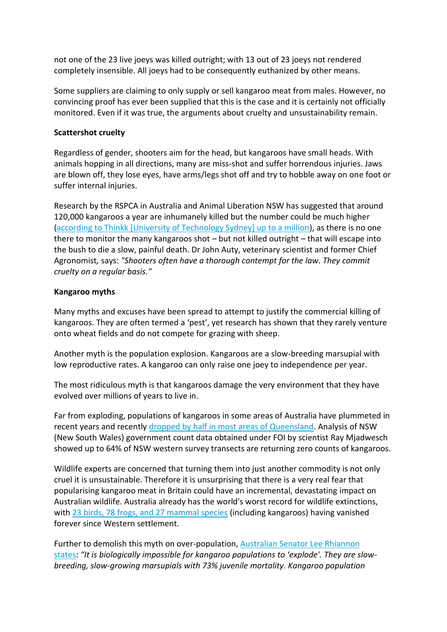not one of the 23 live joeys was killed outright; with 13 out of 23 joeys not rendered completely insensible. All joeys had to be consequently euthanized by other means.

Some suppliers are claiming to only supply or sell kangaroo meat from males. However, no convincing proof has ever been supplied that this is the case and it is certainly not officially monitored. Even if it was true, the arguments about cruelty and unsustainability remain.

#### **Scattershot cruelty**

Regardless of gender, shooters aim for the head, but kangaroos have small heads. With animals hopping in all directions, many are miss-shot and suffer horrendous injuries. Jaws are blown off, they lose eyes, have arms/legs shot off and try to hobble away on one foot or suffer internal injuries.

Research by the RSPCA in Australia and Animal Liberation NSW has suggested that around 120,000 kangaroos a year are inhumanely killed but the number could be much higher [\(according to Thinkk \[University of Technology Sydney\] up to a million\)](http://thinkkangaroos.uts.edu.au/faqs.html), as there is no one there to monitor the many kangaroos shot – but not killed outright – that will escape into the bush to die a slow, painful death. Dr John Auty, veterinary scientist and former Chief Agronomist*,* says: *"Shooters often have a thorough contempt for the law. They commit cruelty on a regular basis."*

## **Kangaroo myths**

Many myths and excuses have been spread to attempt to justify the commercial killing of kangaroos. They are often termed a 'pest', yet research has shown that they rarely venture onto wheat fields and do not compete for grazing with sheep.

Another myth is the population explosion. Kangaroos are a slow-breeding marsupial with low reproductive rates. A kangaroo can only raise one joey to independence per year.

The most ridiculous myth is that kangaroos damage the very environment that they have evolved over millions of years to live in.

Far from exploding, populations of kangaroos in some areas of Australia have plummeted in recent years and recently [dropped by half in most areas of Queensland.](http://lee-rhiannon.greensmps.org.au/content/speeches-parliament/adjournment-speech-kangaroos-iconic-species-risk) Analysis of NSW (New South Wales) government count data obtained under FOI by scientist Ray Mjadwesch showed up to 64% of NSW western survey transects are returning zero counts of kangaroos.

Wildlife experts are concerned that turning them into just another commodity is not only cruel it is unsustainable. Therefore it is unsurprising that there is a very real fear that popularising kangaroo meat in Britain could have an incremental, devastating impact on Australian wildlife. Australia already has the world's worst record for wildlife extinctions, with [23 birds, 78 frogs, and 27 mammal species](http://en.wikipedia.org/wiki/List_of_extinct_animals_of_Australia) (including kangaroos) having vanished forever since Western settlement.

Further to demolish this myth on over-population, [Australian Senator Lee Rhiannon](http://lee-rhiannon.greensmps.org.au/content/media-releases/nationals-misleading-kangaroo-numbers-and-job-benefits)  [states:](http://lee-rhiannon.greensmps.org.au/content/media-releases/nationals-misleading-kangaroo-numbers-and-job-benefits) *"It is biologically impossible for kangaroo populations to 'explode'. They are slowbreeding, slow-growing marsupials with 73% juvenile mortality. Kangaroo population*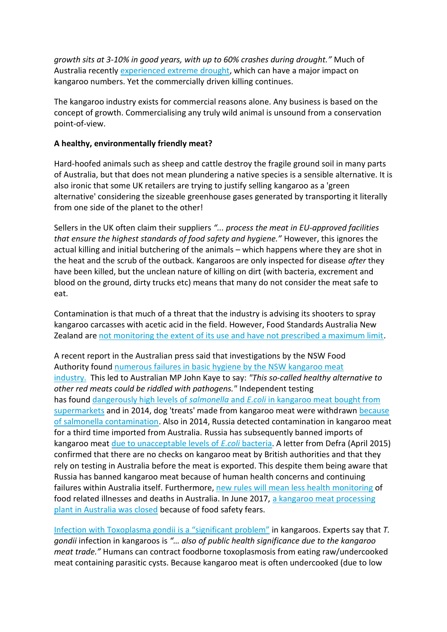*growth sits at 3-10% in good years, with up to 60% crashes during drought."* Much of Australia recently experienced [extreme drought,](http://www.abc.net.au/news/2015-03-05/drought-worsens-in-northern-and-southern-australia-dry-february/6282428) which can have a major impact on kangaroo numbers. Yet the commercially driven killing continues.

The kangaroo industry exists for commercial reasons alone. Any business is based on the concept of growth. Commercialising any truly wild animal is unsound from a conservation point-of-view.

## **A healthy, environmentally friendly meat?**

Hard-hoofed animals such as sheep and cattle destroy the fragile ground soil in many parts of Australia, but that does not mean plundering a native species is a sensible alternative. It is also ironic that some UK retailers are trying to justify selling kangaroo as a 'green alternative' considering the sizeable greenhouse gases generated by transporting it literally from one side of the planet to the other!

Sellers in the UK often claim their suppliers *"... process the meat in EU-approved facilities that ensure the highest standards of food safety and hygiene."* However, this ignores the actual killing and initial butchering of the animals – which happens where they are shot in the heat and the scrub of the outback. Kangaroos are only inspected for disease *after* they have been killed, but the unclean nature of killing on dirt (with bacteria, excrement and blood on the ground, dirty trucks etc) means that many do not consider the meat safe to eat.

Contamination is that much of a threat that the industry is advising its shooters to spray kangaroo carcasses with acetic acid in the field. However, Food Standards Australia New Zealand are [not monitoring the extent of its use and have not prescribed a maximum limit.](http://www.aph.gov.au/~/media/Committees/clac_ctte/estimates/bud_1516/Health/Answers/SQ15-000406.pdf)

A recent report in the Australian press said that investigations by the NSW Food Authority found [numerous failures in basic hygiene by the NSW kangaroo meat](http://www.smh.com.au/nsw/nsw-kangaroo-meat-fails-basic-hygiene-tests-20150306-13uyft.html)  [industry.](http://www.smh.com.au/nsw/nsw-kangaroo-meat-fails-basic-hygiene-tests-20150306-13uyft.html) This led to Australian MP John Kaye to say: *"This so-called healthy alternative to other red meats could be riddled with pathogens."* Independent testing has found dangerously high levels of *salmonella* and *E.coli* [in kangaroo meat bought from](http://www.smh.com.au/environment/hygiene-threatens-kangaroo-meat-industry-20091117-ikf6.html)  [supermarkets](http://www.smh.com.au/environment/hygiene-threatens-kangaroo-meat-industry-20091117-ikf6.html) and in 2014, dog 'treats' made from kangaroo meat were withdrawn [because](http://www.foodsafetynews.com/2014/12/jump-your-bones-kangaroo-meat-pet-treats-recalled-for-salmonella-risk/#.VRA9_Y6sXpp)  [of salmonella contamination.](http://www.foodsafetynews.com/2014/12/jump-your-bones-kangaroo-meat-pet-treats-recalled-for-salmonella-risk/#.VRA9_Y6sXpp) Also in 2014, Russia detected contamination in kangaroo meat for a third time imported from Australia. Russia has subsequently banned imports of kangaroo meat [due to unacceptable levels of](http://www.abc.net.au/news/2014-08-18/kangaroo-meat-ban/5677656) *E.coli* bacteria. A letter from Defra (April 2015) confirmed that there are no checks on kangaroo meat by British authorities and that they rely on testing in Australia before the meat is exported. This despite them being aware that Russia has banned kangaroo meat because of human health concerns and continuing failures within Australia itself. Furthermore, [new rules will mean less health monitoring](http://www.smh.com.au/federal-politics/political-news/foodrelated-deaths-and-illnesses-to-no-longer-be-reported-to-the-accc-20150318-1m25kd.html) of food related illnesses and deaths in Australia. In June 2017, a kangaroo meat processing [plant in Australia was closed](http://www.abc.net.au/news/rural/2017-06-09/qld-kangaroo-abattoir-shuts-doors/8602852) because of food safety fears.

Infection with Toxoplasma gondii [is a "significant problem"](http://www.ncbi.nlm.nih.gov/pmc/articles/PMC2784248/) in kangaroos. Experts say that *T. gondii* infection in kangaroos is *"… also of public health significance due to the kangaroo meat trade."* Humans can contract foodborne toxoplasmosis from eating raw/undercooked meat containing parasitic cysts. Because kangaroo meat is often undercooked (due to low